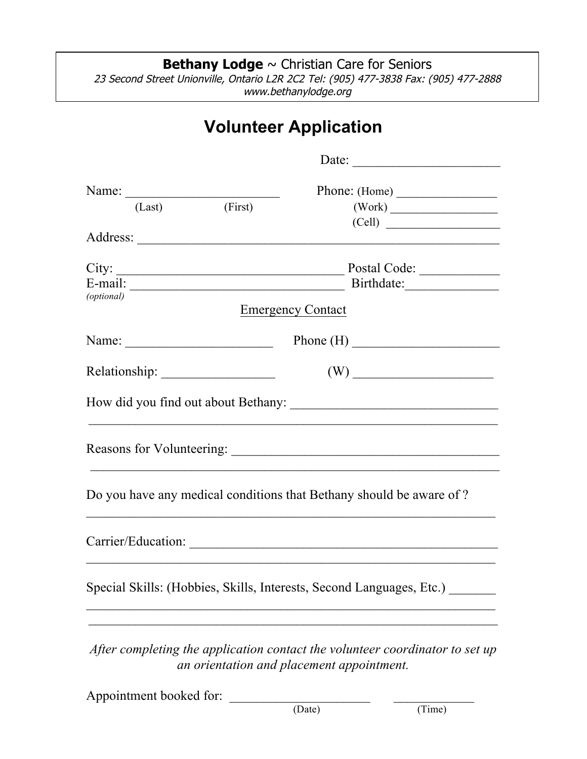**Bethany Lodge** ~ Christian Care for Seniors 23 Second Street Unionville, Ontario L2R 2C2 Tel: (905) 477-3838 Fax: (905) 477-2888 www.bethanylodge.org

## **Volunteer Application**

|                                                                     |                | Date: $\frac{1}{\sqrt{1-\frac{1}{2}} \cdot \frac{1}{2}}$ |                                                                              |  |
|---------------------------------------------------------------------|----------------|----------------------------------------------------------|------------------------------------------------------------------------------|--|
|                                                                     |                | Phone: (Home)                                            |                                                                              |  |
|                                                                     | (Last) (First) |                                                          |                                                                              |  |
|                                                                     |                |                                                          | (Cell)                                                                       |  |
|                                                                     |                |                                                          |                                                                              |  |
|                                                                     |                |                                                          |                                                                              |  |
|                                                                     |                |                                                          |                                                                              |  |
| (optional)                                                          |                |                                                          |                                                                              |  |
|                                                                     |                | <b>Emergency Contact</b>                                 |                                                                              |  |
|                                                                     |                | Name: $\qquad \qquad \qquad$ Phone (H) $\qquad \qquad$   |                                                                              |  |
|                                                                     |                |                                                          |                                                                              |  |
|                                                                     |                |                                                          |                                                                              |  |
|                                                                     |                |                                                          |                                                                              |  |
| Do you have any medical conditions that Bethany should be aware of? |                |                                                          |                                                                              |  |
|                                                                     |                |                                                          |                                                                              |  |
|                                                                     |                |                                                          | Special Skills: (Hobbies, Skills, Interests, Second Languages, Etc.)         |  |
|                                                                     |                |                                                          |                                                                              |  |
|                                                                     |                | an orientation and placement appointment.                | After completing the application contact the volunteer coordinator to set up |  |
| Appointment booked for:                                             |                |                                                          |                                                                              |  |
|                                                                     |                | (Date)                                                   | (Time)                                                                       |  |